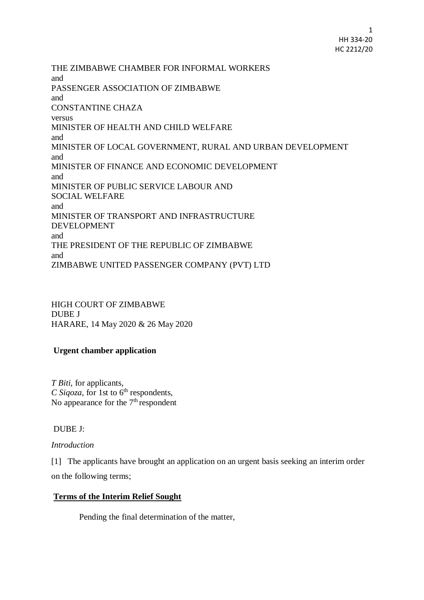1 HH 334-20 HC 2212/20

THE ZIMBABWE CHAMBER FOR INFORMAL WORKERS and PASSENGER ASSOCIATION OF ZIMBABWE and CONSTANTINE CHAZA versus MINISTER OF HEALTH AND CHILD WELFARE and MINISTER OF LOCAL GOVERNMENT, RURAL AND URBAN DEVELOPMENT and MINISTER OF FINANCE AND ECONOMIC DEVELOPMENT and MINISTER OF PUBLIC SERVICE LABOUR AND SOCIAL WELFARE and MINISTER OF TRANSPORT AND INFRASTRUCTURE DEVELOPMENT and THE PRESIDENT OF THE REPUBLIC OF ZIMBABWE and ZIMBABWE UNITED PASSENGER COMPANY (PVT) LTD

HIGH COURT OF ZIMBABWE DUBE J HARARE, 14 May 2020 & 26 May 2020

# **Urgent chamber application**

*T Biti*, for applicants, *C Sigoza*, for 1st to  $6<sup>th</sup>$  respondents, No appearance for the  $7<sup>th</sup>$  respondent

## DUBE J:

## *Introduction*

[1] The applicants have brought an application on an urgent basis seeking an interim order on the following terms;

## **Terms of the Interim Relief Sought**

Pending the final determination of the matter,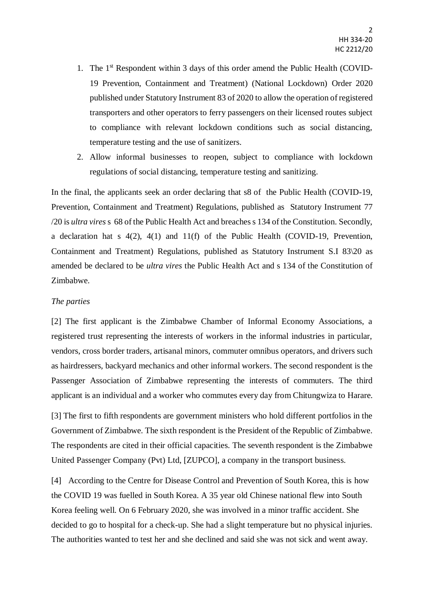- 1. The 1<sup>st</sup> Respondent within 3 days of this order amend the Public Health (COVID-19 Prevention, Containment and Treatment) (National Lockdown) Order 2020 published under Statutory Instrument 83 of 2020 to allow the operation of registered transporters and other operators to ferry passengers on their licensed routes subject to compliance with relevant lockdown conditions such as social distancing, temperature testing and the use of sanitizers.
- 2. Allow informal businesses to reopen, subject to compliance with lockdown regulations of social distancing, temperature testing and sanitizing.

In the final, the applicants seek an order declaring that s8 of the Public Health (COVID-19, Prevention, Containment and Treatment) Regulations, published as Statutory Instrument 77 /20 is *ultra vires*s 68 of the Public Health Act and breaches s 134 of the Constitution. Secondly, a declaration hat s 4(2), 4(1) and 11(f) of the Public Health (COVID-19, Prevention, Containment and Treatment) Regulations, published as Statutory Instrument S.I 83\20 as amended be declared to be *ultra vires* the Public Health Act and s 134 of the Constitution of Zimbabwe.

#### *The parties*

[2] The first applicant is the Zimbabwe Chamber of Informal Economy Associations, a registered trust representing the interests of workers in the informal industries in particular, vendors, cross border traders, artisanal minors, commuter omnibus operators, and drivers such as hairdressers, backyard mechanics and other informal workers. The second respondent is the Passenger Association of Zimbabwe representing the interests of commuters. The third applicant is an individual and a worker who commutes every day from Chitungwiza to Harare.

[3] The first to fifth respondents are government ministers who hold different portfolios in the Government of Zimbabwe. The sixth respondent is the President of the Republic of Zimbabwe. The respondents are cited in their official capacities. The seventh respondent is the Zimbabwe United Passenger Company (Pvt) Ltd, [ZUPCO], a company in the transport business.

[4] According to the Centre for Disease Control and Prevention of South Korea, this is how the COVID 19 was fuelled in South Korea. A 35 year old Chinese national flew into South Korea feeling well. On 6 February 2020, she was involved in a minor traffic accident. She decided to go to hospital for a check-up. She had a slight temperature but no physical injuries. The authorities wanted to test her and she declined and said she was not sick and went away.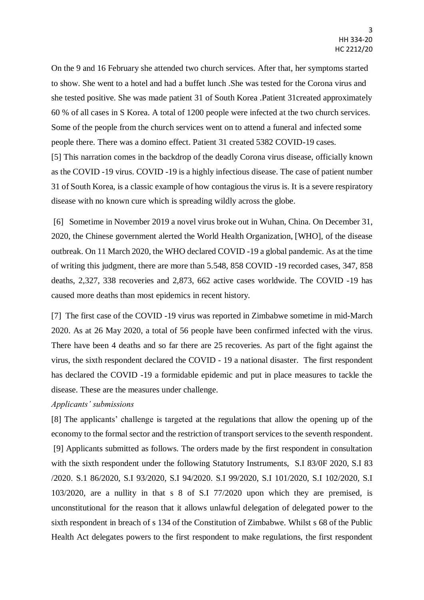On the 9 and 16 February she attended two church services. After that, her symptoms started to show. She went to a hotel and had a buffet lunch .She was tested for the Corona virus and she tested positive. She was made patient 31 of South Korea .Patient 31created approximately 60 % of all cases in S Korea. A total of 1200 people were infected at the two church services. Some of the people from the church services went on to attend a funeral and infected some people there. There was a domino effect. Patient 31 created 5382 COVID-19 cases. [5] This narration comes in the backdrop of the deadly Corona virus disease, officially known as the COVID -19 virus. COVID -19 is a highly infectious disease. The case of patient number 31 of South Korea, is a classic example of how contagious the virus is. It is a severe respiratory disease with no known cure which is spreading wildly across the globe.

[6] Sometime in November 2019 a novel virus broke out in Wuhan, China. On December 31, 2020, the Chinese government alerted the World Health Organization, [WHO], of the disease outbreak. On 11 March 2020, the WHO declared COVID -19 a global pandemic. As at the time of writing this judgment, there are more than 5.548, 858 COVID -19 recorded cases, 347, 858 deaths, 2,327, 338 recoveries and 2,873, 662 active cases worldwide. The COVID -19 has caused more deaths than most epidemics in recent history.

[7] The first case of the COVID -19 virus was reported in Zimbabwe sometime in mid-March 2020. As at 26 May 2020, a total of 56 people have been confirmed infected with the virus. There have been 4 deaths and so far there are 25 recoveries. As part of the fight against the virus, the sixth respondent declared the COVID - 19 a national disaster. The first respondent has declared the COVID -19 a formidable epidemic and put in place measures to tackle the disease. These are the measures under challenge.

#### *Applicants' submissions*

[8] The applicants' challenge is targeted at the regulations that allow the opening up of the economy to the formal sector and the restriction of transport services to the seventh respondent. [9] Applicants submitted as follows. The orders made by the first respondent in consultation with the sixth respondent under the following Statutory Instruments, S.I 83/0F 2020, S.I 83 /2020. S.1 86/2020, S.I 93/2020, S.I 94/2020. S.I 99/2020, S.I 101/2020, S.I 102/2020, S.I 103/2020, are a nullity in that s 8 of S.I 77/2020 upon which they are premised, is unconstitutional for the reason that it allows unlawful delegation of delegated power to the sixth respondent in breach of s 134 of the Constitution of Zimbabwe. Whilst s 68 of the Public Health Act delegates powers to the first respondent to make regulations, the first respondent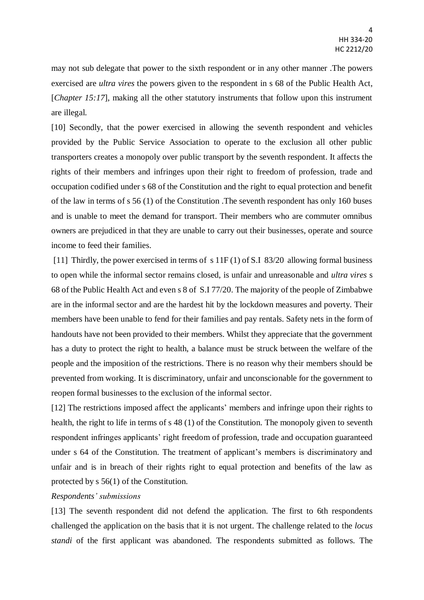may not sub delegate that power to the sixth respondent or in any other manner .The powers exercised are *ultra vires* the powers given to the respondent in s 68 of the Public Health Act, [*Chapter 15:17*], making all the other statutory instruments that follow upon this instrument are illegal.

[10] Secondly, that the power exercised in allowing the seventh respondent and vehicles provided by the Public Service Association to operate to the exclusion all other public transporters creates a monopoly over public transport by the seventh respondent. It affects the rights of their members and infringes upon their right to freedom of profession, trade and occupation codified under s 68 of the Constitution and the right to equal protection and benefit of the law in terms of s 56 (1) of the Constitution .The seventh respondent has only 160 buses and is unable to meet the demand for transport. Their members who are commuter omnibus owners are prejudiced in that they are unable to carry out their businesses, operate and source income to feed their families.

[11] Thirdly, the power exercised in terms of s 11F (1) of S.I 83/20 allowing formal business to open while the informal sector remains closed, is unfair and unreasonable and *ultra vires* s 68 of the Public Health Act and even s 8 of S.I 77/20. The majority of the people of Zimbabwe are in the informal sector and are the hardest hit by the lockdown measures and poverty. Their members have been unable to fend for their families and pay rentals. Safety nets in the form of handouts have not been provided to their members. Whilst they appreciate that the government has a duty to protect the right to health, a balance must be struck between the welfare of the people and the imposition of the restrictions. There is no reason why their members should be prevented from working. It is discriminatory, unfair and unconscionable for the government to reopen formal businesses to the exclusion of the informal sector.

[12] The restrictions imposed affect the applicants' members and infringe upon their rights to health, the right to life in terms of s 48 (1) of the Constitution. The monopoly given to seventh respondent infringes applicants' right freedom of profession, trade and occupation guaranteed under s 64 of the Constitution. The treatment of applicant's members is discriminatory and unfair and is in breach of their rights right to equal protection and benefits of the law as protected by s 56(1) of the Constitution.

#### *Respondents' submissions*

[13] The seventh respondent did not defend the application. The first to 6th respondents challenged the application on the basis that it is not urgent. The challenge related to the *locus standi* of the first applicant was abandoned. The respondents submitted as follows. The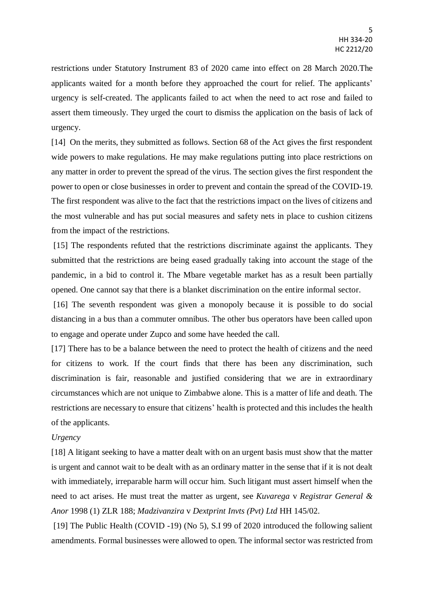restrictions under Statutory Instrument 83 of 2020 came into effect on 28 March 2020.The applicants waited for a month before they approached the court for relief. The applicants' urgency is self-created. The applicants failed to act when the need to act rose and failed to assert them timeously. They urged the court to dismiss the application on the basis of lack of urgency.

[14] On the merits, they submitted as follows. Section 68 of the Act gives the first respondent wide powers to make regulations. He may make regulations putting into place restrictions on any matter in order to prevent the spread of the virus. The section gives the first respondent the power to open or close businesses in order to prevent and contain the spread of the COVID-19. The first respondent was alive to the fact that the restrictions impact on the lives of citizens and the most vulnerable and has put social measures and safety nets in place to cushion citizens from the impact of the restrictions.

[15] The respondents refuted that the restrictions discriminate against the applicants. They submitted that the restrictions are being eased gradually taking into account the stage of the pandemic, in a bid to control it. The Mbare vegetable market has as a result been partially opened. One cannot say that there is a blanket discrimination on the entire informal sector.

[16] The seventh respondent was given a monopoly because it is possible to do social distancing in a bus than a commuter omnibus. The other bus operators have been called upon to engage and operate under Zupco and some have heeded the call.

[17] There has to be a balance between the need to protect the health of citizens and the need for citizens to work. If the court finds that there has been any discrimination, such discrimination is fair, reasonable and justified considering that we are in extraordinary circumstances which are not unique to Zimbabwe alone. This is a matter of life and death. The restrictions are necessary to ensure that citizens' health is protected and this includes the health of the applicants.

#### *Urgency*

[18] A litigant seeking to have a matter dealt with on an urgent basis must show that the matter is urgent and cannot wait to be dealt with as an ordinary matter in the sense that if it is not dealt with immediately, irreparable harm will occur him. Such litigant must assert himself when the need to act arises. He must treat the matter as urgent, see *Kuvarega* v *Registrar General & Anor* 1998 (1) ZLR 188; *Madzivanzira* v *Dextprint Invts (Pvt) Ltd* HH 145/02.

[19] The Public Health (COVID -19) (No 5), S.I 99 of 2020 introduced the following salient amendments. Formal businesses were allowed to open. The informal sector was restricted from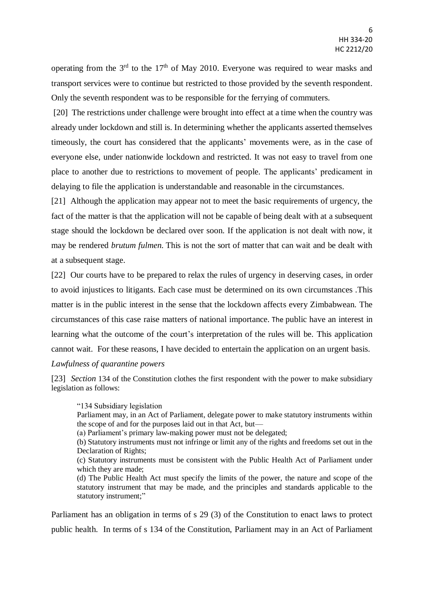operating from the  $3<sup>rd</sup>$  to the  $17<sup>th</sup>$  of May 2010. Everyone was required to wear masks and transport services were to continue but restricted to those provided by the seventh respondent. Only the seventh respondent was to be responsible for the ferrying of commuters.

[20] The restrictions under challenge were brought into effect at a time when the country was already under lockdown and still is. In determining whether the applicants asserted themselves timeously, the court has considered that the applicants' movements were, as in the case of everyone else, under nationwide lockdown and restricted. It was not easy to travel from one place to another due to restrictions to movement of people. The applicants' predicament in delaying to file the application is understandable and reasonable in the circumstances.

[21] Although the application may appear not to meet the basic requirements of urgency, the fact of the matter is that the application will not be capable of being dealt with at a subsequent stage should the lockdown be declared over soon. If the application is not dealt with now, it may be rendered *brutum fulmen.* This is not the sort of matter that can wait and be dealt with at a subsequent stage.

[22] Our courts have to be prepared to relax the rules of urgency in deserving cases, in order to avoid injustices to litigants. Each case must be determined on its own circumstances .This matter is in the public interest in the sense that the lockdown affects every Zimbabwean. The circumstances of this case raise matters of national importance. The public have an interest in learning what the outcome of the court's interpretation of the rules will be. This application cannot wait. For these reasons, I have decided to entertain the application on an urgent basis.

#### *Lawfulness of quarantine powers*

[23] *Section* 134 of the Constitution clothes the first respondent with the power to make subsidiary legislation as follows:

"134 Subsidiary legislation

Parliament may, in an Act of Parliament, delegate power to make statutory instruments within the scope of and for the purposes laid out in that Act, but—

(a) Parliament's primary law-making power must not be delegated;

(b) Statutory instruments must not infringe or limit any of the rights and freedoms set out in the Declaration of Rights;

(c) Statutory instruments must be consistent with the Public Health Act of Parliament under which they are made;

(d) The Public Health Act must specify the limits of the power, the nature and scope of the statutory instrument that may be made, and the principles and standards applicable to the statutory instrument;"

Parliament has an obligation in terms of s 29 (3) of the Constitution to enact laws to protect public health. In terms of s 134 of the Constitution, Parliament may in an Act of Parliament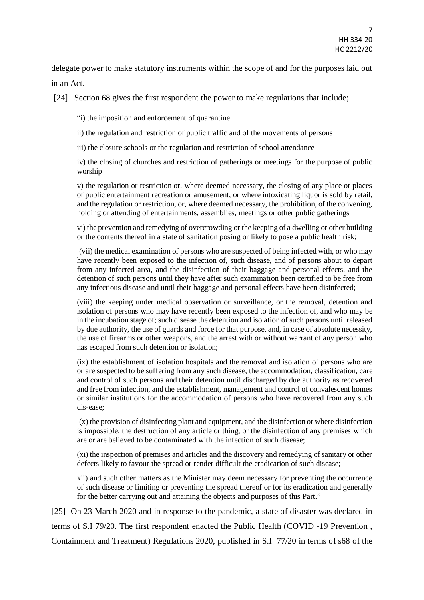delegate power to make statutory instruments within the scope of and for the purposes laid out in an Act.

[24] Section 68 gives the first respondent the power to make regulations that include;

"i) the imposition and enforcement of quarantine

ii) the regulation and restriction of public traffic and of the movements of persons

iii) the closure schools or the regulation and restriction of school attendance

iv) the closing of churches and restriction of gatherings or meetings for the purpose of public worship

v) the regulation or restriction or, where deemed necessary, the closing of any place or places of public entertainment recreation or amusement, or where intoxicating liquor is sold by retail, and the regulation or restriction, or, where deemed necessary, the prohibition, of the convening, holding or attending of entertainments, assemblies, meetings or other public gatherings

vi) the prevention and remedying of overcrowding or the keeping of a dwelling or other building or the contents thereof in a state of sanitation posing or likely to pose a public health risk;

(vii) the medical examination of persons who are suspected of being infected with, or who may have recently been exposed to the infection of, such disease, and of persons about to depart from any infected area, and the disinfection of their baggage and personal effects, and the detention of such persons until they have after such examination been certified to be free from any infectious disease and until their baggage and personal effects have been disinfected;

(viii) the keeping under medical observation or surveillance, or the removal, detention and isolation of persons who may have recently been exposed to the infection of, and who may be in the incubation stage of; such disease the detention and isolation of such persons until released by due authority, the use of guards and force for that purpose, and, in case of absolute necessity, the use of firearms or other weapons, and the arrest with or without warrant of any person who has escaped from such detention or isolation;

(ix) the establishment of isolation hospitals and the removal and isolation of persons who are or are suspected to be suffering from any such disease, the accommodation, classification, care and control of such persons and their detention until discharged by due authority as recovered and free from infection, and the establishment, management and control of convalescent homes or similar institutions for the accommodation of persons who have recovered from any such dis-ease;

(x) the provision of disinfecting plant and equipment, and the disinfection or where disinfection is impossible, the destruction of any article or thing, or the disinfection of any premises which are or are believed to be contaminated with the infection of such disease;

(xi) the inspection of premises and articles and the discovery and remedying of sanitary or other defects likely to favour the spread or render difficult the eradication of such disease;

xii) and such other matters as the Minister may deem necessary for preventing the occurrence of such disease or limiting or preventing the spread thereof or for its eradication and generally for the better carrying out and attaining the objects and purposes of this Part."

[25] On 23 March 2020 and in response to the pandemic, a state of disaster was declared in terms of S.I 79/20. The first respondent enacted the Public Health (COVID -19 Prevention , Containment and Treatment) Regulations 2020, published in S.I 77/20 in terms of s68 of the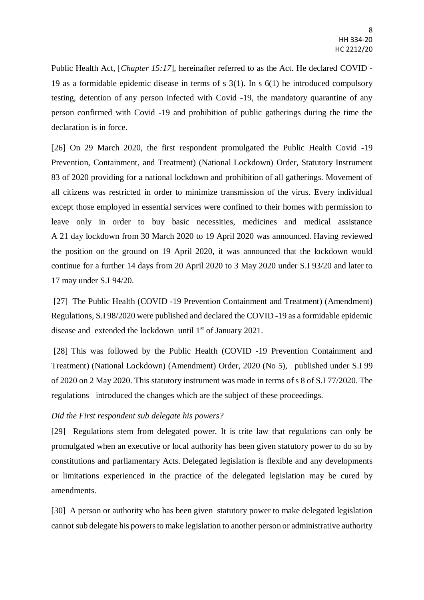Public Health Act, [*Chapter 15:17*], hereinafter referred to as the Act. He declared COVID - 19 as a formidable epidemic disease in terms of s 3(1). In s 6(1) he introduced compulsory testing, detention of any person infected with Covid -19, the mandatory quarantine of any person confirmed with Covid -19 and prohibition of public gatherings during the time the declaration is in force.

[26] On 29 March 2020, the first respondent promulgated the Public Health Covid -19 Prevention, Containment, and Treatment) (National Lockdown) Order, Statutory Instrument 83 of 2020 providing for a national lockdown and prohibition of all gatherings. Movement of all citizens was restricted in order to minimize transmission of the virus. Every individual except those employed in essential services were confined to their homes with permission to leave only in order to buy basic necessities, medicines and medical assistance A 21 day lockdown from 30 March 2020 to 19 April 2020 was announced. Having reviewed the position on the ground on 19 April 2020, it was announced that the lockdown would continue for a further 14 days from 20 April 2020 to 3 May 2020 under S.I 93/20 and later to 17 may under S.I 94/20.

[27] The Public Health (COVID -19 Prevention Containment and Treatment) (Amendment) Regulations, S.I 98/2020 were published and declared the COVID -19 as a formidable epidemic disease and extended the lockdown until 1<sup>st</sup> of January 2021.

[28] This was followed by the Public Health (COVID -19 Prevention Containment and Treatment) (National Lockdown) (Amendment) Order, 2020 (No 5), published under S.I 99 of 2020 on 2 May 2020. This statutory instrument was made in terms of s 8 of S.I 77/2020. The regulations introduced the changes which are the subject of these proceedings.

### *Did the First respondent sub delegate his powers?*

[29] Regulations stem from delegated power. It is trite law that regulations can only be promulgated when an executive or local authority has been given statutory power to do so by constitutions and parliamentary Acts. Delegated legislation is flexible and any developments or limitations experienced in the practice of the delegated legislation may be cured by amendments.

[30] A person or authority who has been given statutory power to make delegated legislation cannot sub delegate his powers to make legislation to another person or administrative authority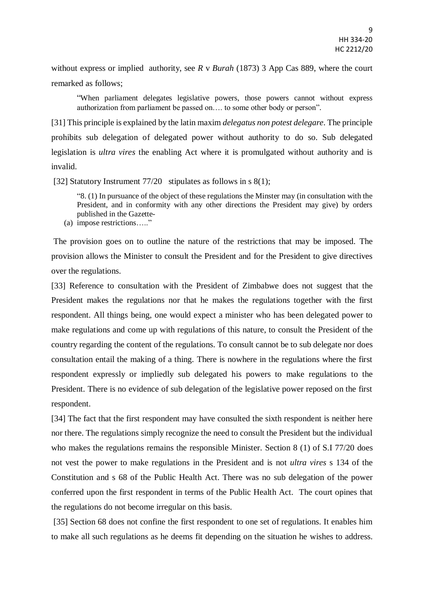without express or implied authority, see *R* v *Burah* (1873) 3 App Cas 889, where the court remarked as follows;

"When parliament delegates legislative powers, those powers cannot without express authorization from parliament be passed on…. to some other body or person".

[31] This principle is explained by the latin maxim *delegatus non potest delegare*. The principle prohibits sub delegation of delegated power without authority to do so. Sub delegated legislation is *ultra vires* the enabling Act where it is promulgated without authority and is invalid.

[32] Statutory Instrument 77/20 stipulates as follows in s 8(1);

"8. (1) In pursuance of the object of these regulations the Minster may (in consultation with the President, and in conformity with any other directions the President may give) by orders published in the Gazette-

(a) impose restrictions….."

The provision goes on to outline the nature of the restrictions that may be imposed. The provision allows the Minister to consult the President and for the President to give directives over the regulations.

[33] Reference to consultation with the President of Zimbabwe does not suggest that the President makes the regulations nor that he makes the regulations together with the first respondent. All things being, one would expect a minister who has been delegated power to make regulations and come up with regulations of this nature, to consult the President of the country regarding the content of the regulations. To consult cannot be to sub delegate nor does consultation entail the making of a thing. There is nowhere in the regulations where the first respondent expressly or impliedly sub delegated his powers to make regulations to the President. There is no evidence of sub delegation of the legislative power reposed on the first respondent.

[34] The fact that the first respondent may have consulted the sixth respondent is neither here nor there. The regulations simply recognize the need to consult the President but the individual who makes the regulations remains the responsible Minister. Section 8 (1) of S.I 77/20 does not vest the power to make regulations in the President and is not *ultra vires* s 134 of the Constitution and s 68 of the Public Health Act. There was no sub delegation of the power conferred upon the first respondent in terms of the Public Health Act. The court opines that the regulations do not become irregular on this basis.

[35] Section 68 does not confine the first respondent to one set of regulations. It enables him to make all such regulations as he deems fit depending on the situation he wishes to address.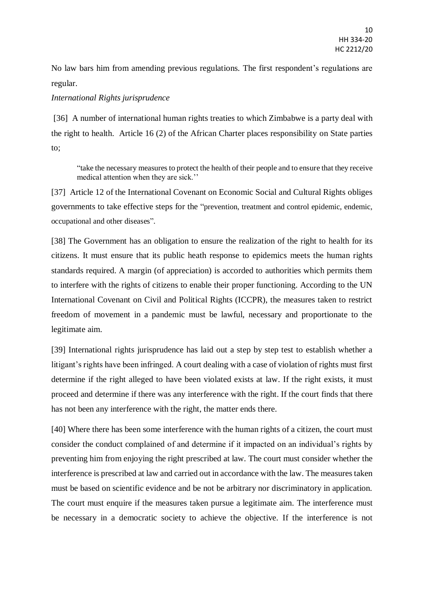No law bars him from amending previous regulations. The first respondent's regulations are regular.

## *International Rights jurisprudence*

[36] A number of international human rights treaties to which Zimbabwe is a party deal with the right to health. Article 16 (2) of the African Charter places responsibility on State parties to;

"take the necessary measures to protect the health of their people and to ensure that they receive medical attention when they are sick.''

[37] Article 12 of the International Covenant on Economic Social and Cultural Rights obliges governments to take effective steps for the "prevention, treatment and control epidemic, endemic, occupational and other diseases".

[38] The Government has an obligation to ensure the realization of the right to health for its citizens. It must ensure that its public heath response to epidemics meets the human rights standards required. A margin (of appreciation) is accorded to authorities which permits them to interfere with the rights of citizens to enable their proper functioning. According to the UN International Covenant on Civil and Political Rights (ICCPR), the measures taken to restrict freedom of movement in a pandemic must be lawful, necessary and proportionate to the legitimate aim.

[39] International rights jurisprudence has laid out a step by step test to establish whether a litigant's rights have been infringed. A court dealing with a case of violation of rights must first determine if the right alleged to have been violated exists at law. If the right exists, it must proceed and determine if there was any interference with the right. If the court finds that there has not been any interference with the right, the matter ends there.

[40] Where there has been some interference with the human rights of a citizen, the court must consider the conduct complained of and determine if it impacted on an individual's rights by preventing him from enjoying the right prescribed at law. The court must consider whether the interference is prescribed at law and carried out in accordance with the law. The measures taken must be based on scientific evidence and be not be arbitrary nor discriminatory in application. The court must enquire if the measures taken pursue a legitimate aim. The interference must be necessary in a democratic society to achieve the objective. If the interference is not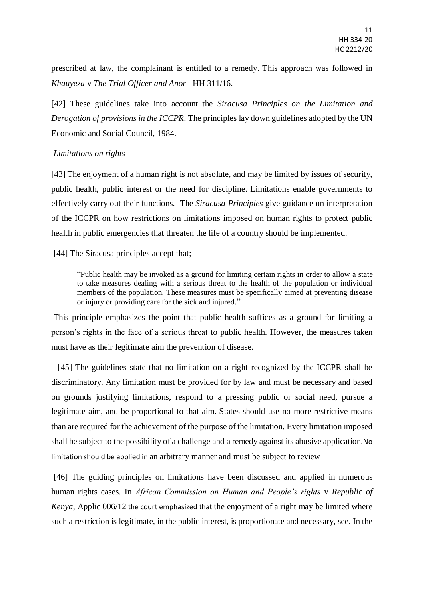prescribed at law, the complainant is entitled to a remedy. This approach was followed in *Khauyeza* v *The Trial Officer and Anor* HH 311/16.

[42] These guidelines take into account the *Siracusa Principles on the Limitation and Derogation of provisions in the ICCPR*. The principles lay down guidelines adopted by the UN Economic and Social Council, 1984.

### *Limitations on rights*

[43] The enjoyment of a human right is not absolute, and may be limited by issues of security, public health, public interest or the need for discipline. Limitations enable governments to effectively carry out their functions. The *Siracusa Principles* give guidance on interpretation of the ICCPR on how restrictions on limitations imposed on human rights to protect public health in public emergencies that threaten the life of a country should be implemented.

[44] The Siracusa principles accept that;

"Public health may be invoked as a ground for limiting certain rights in order to allow a state to take measures dealing with a serious threat to the health of the population or individual members of the population. These measures must be specifically aimed at preventing disease or injury or providing care for the sick and injured."

This principle emphasizes the point that public health suffices as a ground for limiting a person's rights in the face of a serious threat to public health. However, the measures taken must have as their legitimate aim the prevention of disease.

 [45] The guidelines state that no limitation on a right recognized by the ICCPR shall be discriminatory. Any limitation must be provided for by law and must be necessary and based on grounds justifying limitations, respond to a pressing public or social need, pursue a legitimate aim, and be proportional to that aim. States should use no more restrictive means than are required for the achievement of the purpose of the limitation. Every limitation imposed shall be subject to the possibility of a challenge and a remedy against its abusive application.No limitation should be applied in an arbitrary manner and must be subject to review

[46] The guiding principles on limitations have been discussed and applied in numerous human rights cases. In *African Commission on Human and People's rights* v *Republic of Kenya,* Applic 006/12 the court emphasized that the enjoyment of a right may be limited where such a restriction is legitimate, in the public interest, is proportionate and necessary, see. In the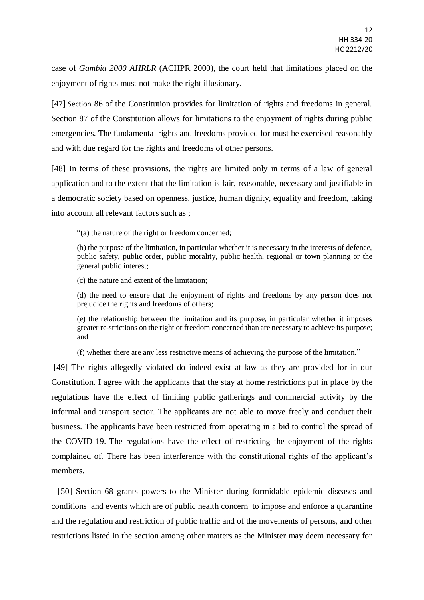case of *Gambia 2000 AHRLR* (ACHPR 2000), the court held that limitations placed on the enjoyment of rights must not make the right illusionary.

[47] Section 86 of the Constitution provides for limitation of rights and freedoms in general. Section 87 of the Constitution allows for limitations to the enjoyment of rights during public emergencies. The fundamental rights and freedoms provided for must be exercised reasonably and with due regard for the rights and freedoms of other persons.

[48] In terms of these provisions, the rights are limited only in terms of a law of general application and to the extent that the limitation is fair, reasonable, necessary and justifiable in a democratic society based on openness, justice, human dignity, equality and freedom, taking into account all relevant factors such as ;

"(a) the nature of the right or freedom concerned;

(b) the purpose of the limitation, in particular whether it is necessary in the interests of defence, public safety, public order, public morality, public health, regional or town planning or the general public interest;

(c) the nature and extent of the limitation;

(d) the need to ensure that the enjoyment of rights and freedoms by any person does not prejudice the rights and freedoms of others;

(e) the relationship between the limitation and its purpose, in particular whether it imposes greater re-strictions on the right or freedom concerned than are necessary to achieve its purpose; and

(f) whether there are any less restrictive means of achieving the purpose of the limitation."

[49] The rights allegedly violated do indeed exist at law as they are provided for in our Constitution. I agree with the applicants that the stay at home restrictions put in place by the regulations have the effect of limiting public gatherings and commercial activity by the informal and transport sector. The applicants are not able to move freely and conduct their business. The applicants have been restricted from operating in a bid to control the spread of the COVID-19. The regulations have the effect of restricting the enjoyment of the rights complained of. There has been interference with the constitutional rights of the applicant's members.

[50] Section 68 grants powers to the Minister during formidable epidemic diseases and conditions and events which are of public health concern to impose and enforce a quarantine and the regulation and restriction of public traffic and of the movements of persons, and other restrictions listed in the section among other matters as the Minister may deem necessary for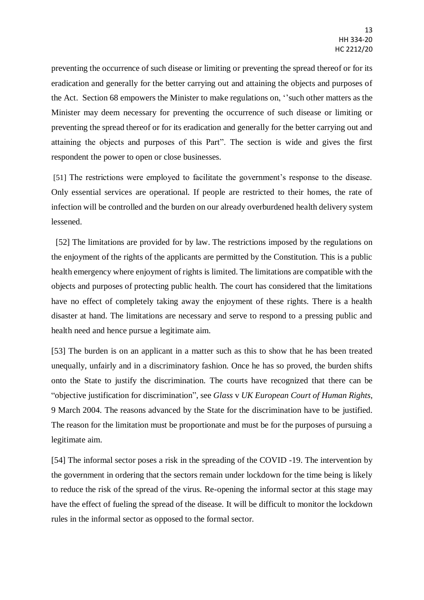preventing the occurrence of such disease or limiting or preventing the spread thereof or for its eradication and generally for the better carrying out and attaining the objects and purposes of the Act. Section 68 empowers the Minister to make regulations on, ''such other matters as the Minister may deem necessary for preventing the occurrence of such disease or limiting or preventing the spread thereof or for its eradication and generally for the better carrying out and attaining the objects and purposes of this Part". The section is wide and gives the first respondent the power to open or close businesses.

[51] The restrictions were employed to facilitate the government's response to the disease. Only essential services are operational. If people are restricted to their homes, the rate of infection will be controlled and the burden on our already overburdened health delivery system lessened.

 [52] The limitations are provided for by law. The restrictions imposed by the regulations on the enjoyment of the rights of the applicants are permitted by the Constitution. This is a public health emergency where enjoyment of rights is limited. The limitations are compatible with the objects and purposes of protecting public health. The court has considered that the limitations have no effect of completely taking away the enjoyment of these rights. There is a health disaster at hand. The limitations are necessary and serve to respond to a pressing public and health need and hence pursue a legitimate aim.

[53] The burden is on an applicant in a matter such as this to show that he has been treated unequally, unfairly and in a discriminatory fashion. Once he has so proved, the burden shifts onto the State to justify the discrimination. The courts have recognized that there can be "objective justification for discrimination", see *Glass* v *UK European Court of Human Rights*, 9 March 2004. The reasons advanced by the State for the discrimination have to be justified. The reason for the limitation must be proportionate and must be for the purposes of pursuing a legitimate aim.

[54] The informal sector poses a risk in the spreading of the COVID -19. The intervention by the government in ordering that the sectors remain under lockdown for the time being is likely to reduce the risk of the spread of the virus. Re-opening the informal sector at this stage may have the effect of fueling the spread of the disease. It will be difficult to monitor the lockdown rules in the informal sector as opposed to the formal sector.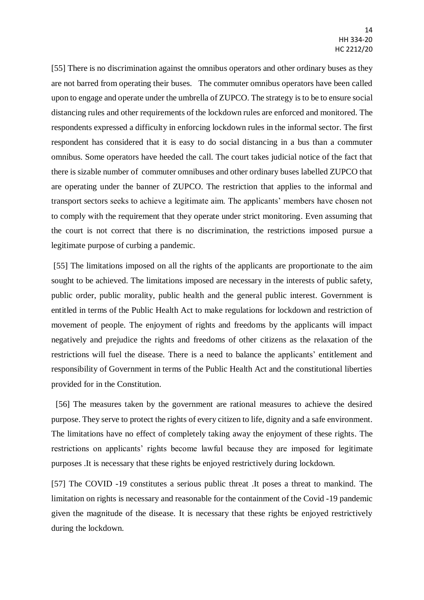[55] There is no discrimination against the omnibus operators and other ordinary buses as they are not barred from operating their buses. The commuter omnibus operators have been called upon to engage and operate under the umbrella of ZUPCO. The strategy is to be to ensure social distancing rules and other requirements of the lockdown rules are enforced and monitored. The respondents expressed a difficulty in enforcing lockdown rules in the informal sector. The first respondent has considered that it is easy to do social distancing in a bus than a commuter omnibus. Some operators have heeded the call. The court takes judicial notice of the fact that there is sizable number of commuter omnibuses and other ordinary buses labelled ZUPCO that are operating under the banner of ZUPCO. The restriction that applies to the informal and transport sectors seeks to achieve a legitimate aim. The applicants' members have chosen not to comply with the requirement that they operate under strict monitoring. Even assuming that the court is not correct that there is no discrimination, the restrictions imposed pursue a legitimate purpose of curbing a pandemic.

[55] The limitations imposed on all the rights of the applicants are proportionate to the aim sought to be achieved. The limitations imposed are necessary in the interests of public safety, public order, public morality, public health and the general public interest. Government is entitled in terms of the Public Health Act to make regulations for lockdown and restriction of movement of people. The enjoyment of rights and freedoms by the applicants will impact negatively and prejudice the rights and freedoms of other citizens as the relaxation of the restrictions will fuel the disease. There is a need to balance the applicants' entitlement and responsibility of Government in terms of the Public Health Act and the constitutional liberties provided for in the Constitution.

[56] The measures taken by the government are rational measures to achieve the desired purpose. They serve to protect the rights of every citizen to life, dignity and a safe environment. The limitations have no effect of completely taking away the enjoyment of these rights. The restrictions on applicants' rights become lawful because they are imposed for legitimate purposes .It is necessary that these rights be enjoyed restrictively during lockdown.

[57] The COVID -19 constitutes a serious public threat .It poses a threat to mankind. The limitation on rights is necessary and reasonable for the containment of the Covid -19 pandemic given the magnitude of the disease. It is necessary that these rights be enjoyed restrictively during the lockdown.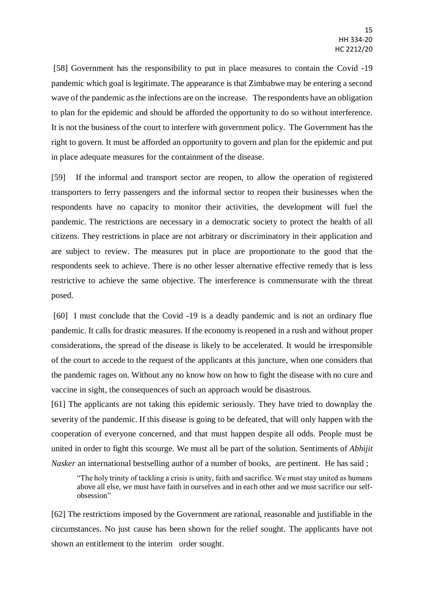[58] Government has the responsibility to put in place measures to contain the Covid -19 pandemic which goal is legitimate. The appearance is that Zimbabwe may be entering a second wave of the pandemic as the infections are on the increase. The respondents have an obligation to plan for the epidemic and should be afforded the opportunity to do so without interference. It is not the business of the court to interfere with government policy. The Government has the right to govern. It must be afforded an opportunity to govern and plan for the epidemic and put in place adequate measures for the containment of the disease.

[59] If the informal and transport sector are reopen, to allow the operation of registered transporters to ferry passengers and the informal sector to reopen their businesses when the respondents have no capacity to monitor their activities, the development will fuel the pandemic. The restrictions are necessary in a democratic society to protect the health of all citizens. They restrictions in place are not arbitrary or discriminatory in their application and are subject to review. The measures put in place are proportionate to the good that the respondents seek to achieve. There is no other lesser alternative effective remedy that is less restrictive to achieve the same objective. The interference is commensurate with the threat posed.

[60] I must conclude that the Covid -19 is a deadly pandemic and is not an ordinary flue pandemic. It calls for drastic measures. If the economy is reopened in a rush and without proper considerations, the spread of the disease is likely to be accelerated. It would be irresponsible of the court to accede to the request of the applicants at this juncture, when one considers that the pandemic rages on. Without any no know how on how to fight the disease with no cure and vaccine in sight, the consequences of such an approach would be disastrous.

[61] The applicants are not taking this epidemic seriously. They have tried to downplay the severity of the pandemic. If this disease is going to be defeated, that will only happen with the cooperation of everyone concerned, and that must happen despite all odds. People must be united in order to fight this scourge. We must all be part of the solution. Sentiments of *Abhijit Nasker* an international bestselling author of a number of books, are pertinent. He has said;

"The holy trinity of tackling a crisis is unity, faith and sacrifice. We must stay united as humans above all else, we must have faith in ourselves and in each other and we must sacrifice our selfobsession"

[62] The restrictions imposed by the Government are rational, reasonable and justifiable in the circumstances. No just cause has been shown for the relief sought. The applicants have not shown an entitlement to the interim order sought.